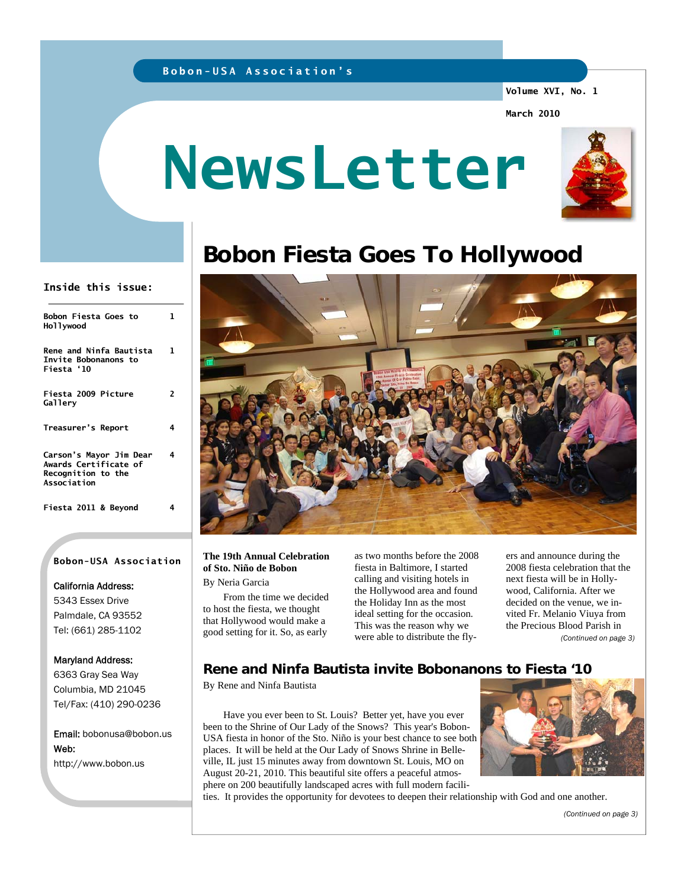# **Bobon-USA Association's**

### **Volume XVI, No. 1**

**March 2010** 

# **NewsLetter**



# **Bobon Fiesta Goes To Hollywood**



## **The 19th Annual Celebration of Sto. Niño de Bobon**

By Neria Garcia

 From the time we decided to host the fiesta, we thought that Hollywood would make a good setting for it. So, as early

as two months before the 2008 fiesta in Baltimore, I started calling and visiting hotels in the Hollywood area and found the Holiday Inn as the most ideal setting for the occasion. This was the reason why we were able to distribute the flyers and announce during the 2008 fiesta celebration that the next fiesta will be in Hollywood, California. After we decided on the venue, we invited Fr. Melanio Viuya from the Precious Blood Parish in *(Continued on page 3)* 

# **Rene and Ninfa Bautista invite Bobonanons to Fiesta '10**

By Rene and Ninfa Bautista

 Have you ever been to St. Louis? Better yet, have you ever been to the Shrine of Our Lady of the Snows? This year's Bobon-USA fiesta in honor of the Sto. Niño is your best chance to see both places. It will be held at the Our Lady of Snows Shrine in Belleville, IL just 15 minutes away from downtown St. Louis, MO on August 20-21, 2010. This beautiful site offers a peaceful atmosphere on 200 beautifully landscaped acres with full modern facili-



ties. It provides the opportunity for devotees to deepen their relationship with God and one another.

*(Continued on page 3)* 

### **Inside this issue:**

| Bobon Fiesta Goes to<br>Hollywood                                                     | 1  |
|---------------------------------------------------------------------------------------|----|
| <b>Rene and Ninfa Bautista</b><br>Invite Bobonanons to<br>Fiesta'10                   | 1. |
| Fiesta 2009 Picture<br>Gallery                                                        | 2  |
| Treasurer's Report                                                                    | 4  |
| Carson's Mayor Jim Dear<br>Awards Certificate of<br>Recognition to the<br>Association | 4  |
| Fiesta 2011 & Beyond                                                                  | 4  |

### **Bobon-USA Association**

### California Address:

5343 Essex Drive Palmdale, CA 93552 Tel: (661) 285-1102

### Maryland Address:

6363 Gray Sea Way Columbia, MD 21045 Tel/Fax: (410) 290-0236

Email: bobonusa@bobon.us Web: http://www.bobon.us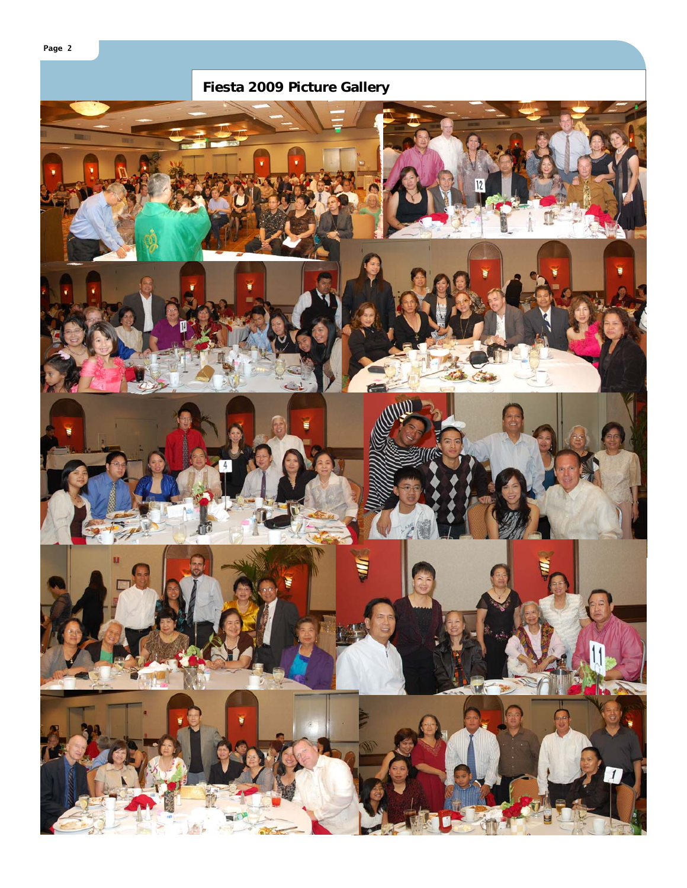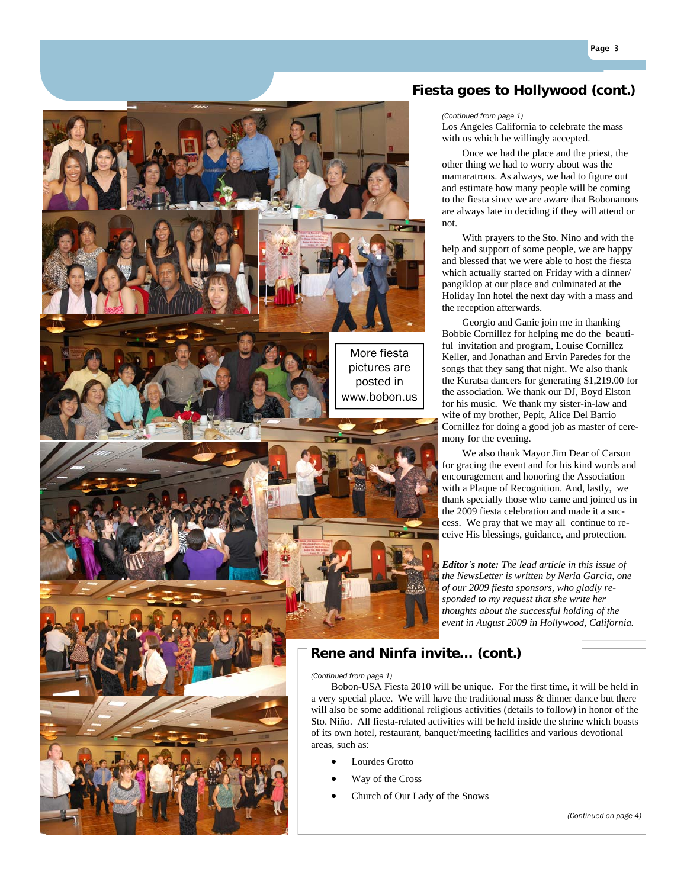

- Way of the Cross
- Church of Our Lady of the Snows

*(Continued on page 4)* 

# **Fiesta goes to Hollywood (cont.)**

*(Continued from page 1)* 

Los Angeles California to celebrate the mass with us which he willingly accepted.

 Once we had the place and the priest, the other thing we had to worry about was the mamaratrons. As always, we had to figure out and estimate how many people will be coming to the fiesta since we are aware that Bobonanons are always late in deciding if they will attend or not.

 With prayers to the Sto. Nino and with the help and support of some people, we are happy and blessed that we were able to host the fiesta which actually started on Friday with a dinner/ pangiklop at our place and culminated at the Holiday Inn hotel the next day with a mass and the reception afterwards.

 Georgio and Ganie join me in thanking Bobbie Cornillez for helping me do the beautiful invitation and program, Louise Cornillez Keller, and Jonathan and Ervin Paredes for the songs that they sang that night. We also thank the Kuratsa dancers for generating \$1,219.00 for the association. We thank our DJ, Boyd Elston for his music. We thank my sister-in-law and wife of my brother, Pepit, Alice Del Barrio Cornillez for doing a good job as master of ceremony for the evening.

 We also thank Mayor Jim Dear of Carson for gracing the event and for his kind words and encouragement and honoring the Association with a Plaque of Recognition. And, lastly, we thank specially those who came and joined us in the 2009 fiesta celebration and made it a success. We pray that we may all continue to receive His blessings, guidance, and protection.

*Editor's note: The lead article in this issue of the NewsLetter is written by Neria Garcia, one of our 2009 fiesta sponsors, who gladly responded to my request that she write her thoughts about the successful holding of the event in August 2009 in Hollywood, California.* 

# **Rene and Ninfa invite… (cont.)**

 Bobon-USA Fiesta 2010 will be unique. For the first time, it will be held in a very special place. We will have the traditional mass & dinner dance but there will also be some additional religious activities (details to follow) in honor of the Sto. Niño. All fiesta-related activities will be held inside the shrine which boasts of its own hotel, restaurant, banquet/meeting facilities and various devotional

**Page 3**